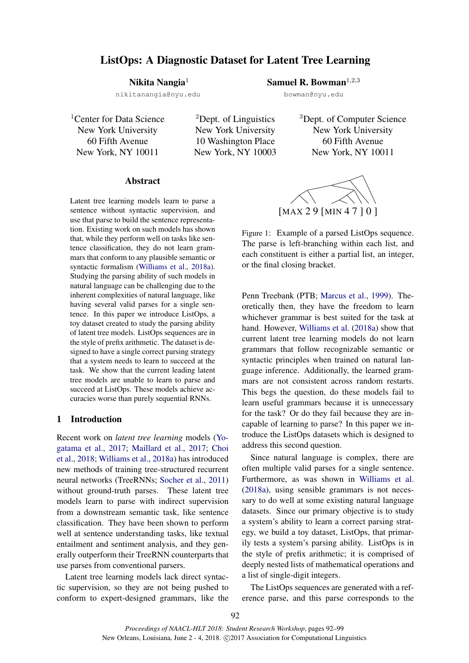# ListOps: A Diagnostic Dataset for Latent Tree Learning

# Nikita Nangia<sup>1</sup>

nikitanangia@nyu.edu

<sup>1</sup>Center for Data Science New York University 60 Fifth Avenue New York, NY 10011

<sup>2</sup>Dept. of Linguistics New York University 10 Washington Place New York, NY 10003 <sup>3</sup>Dept. of Computer Science New York University 60 Fifth Avenue New York, NY 10011

### Abstract

Latent tree learning models learn to parse a sentence without syntactic supervision, and use that parse to build the sentence representation. Existing work on such models has shown that, while they perform well on tasks like sentence classification, they do not learn grammars that conform to any plausible semantic or syntactic formalism (Williams et al., 2018a). Studying the parsing ability of such models in natural language can be challenging due to the inherent complexities of natural language, like having several valid parses for a single sentence. In this paper we introduce ListOps, a toy dataset created to study the parsing ability of latent tree models. ListOps sequences are in the style of prefix arithmetic. The dataset is designed to have a single correct parsing strategy that a system needs to learn to succeed at the task. We show that the current leading latent tree models are unable to learn to parse and succeed at ListOps. These models achieve accuracies worse than purely sequential RNNs.

# 1 Introduction

Recent work on *latent tree learning* models (Yogatama et al., 2017; Maillard et al., 2017; Choi et al., 2018; Williams et al., 2018a) has introduced new methods of training tree-structured recurrent neural networks (TreeRNNs; Socher et al., 2011) without ground-truth parses. These latent tree models learn to parse with indirect supervision from a downstream semantic task, like sentence classification. They have been shown to perform well at sentence understanding tasks, like textual entailment and sentiment analysis, and they generally outperform their TreeRNN counterparts that use parses from conventional parsers.

Latent tree learning models lack direct syntactic supervision, so they are not being pushed to conform to expert-designed grammars, like the



Samuel R. Bowman<sup> $1,2,3$ </sup> bowman@nyu.edu

Figure 1: Example of a parsed ListOps sequence. The parse is left-branching within each list, and each constituent is either a partial list, an integer, or the final closing bracket.

Penn Treebank (PTB; Marcus et al., 1999). Theoretically then, they have the freedom to learn whichever grammar is best suited for the task at hand. However, Williams et al. (2018a) show that current latent tree learning models do not learn grammars that follow recognizable semantic or syntactic principles when trained on natural language inference. Additionally, the learned grammars are not consistent across random restarts. This begs the question, do these models fail to learn useful grammars because it is unnecessary for the task? Or do they fail because they are incapable of learning to parse? In this paper we introduce the ListOps datasets which is designed to address this second question.

Since natural language is complex, there are often multiple valid parses for a single sentence. Furthermore, as was shown in Williams et al. (2018a), using sensible grammars is not necessary to do well at some existing natural language datasets. Since our primary objective is to study a system's ability to learn a correct parsing strategy, we build a toy dataset, ListOps, that primarily tests a system's parsing ability. ListOps is in the style of prefix arithmetic; it is comprised of deeply nested lists of mathematical operations and a list of single-digit integers.

The ListOps sequences are generated with a reference parse, and this parse corresponds to the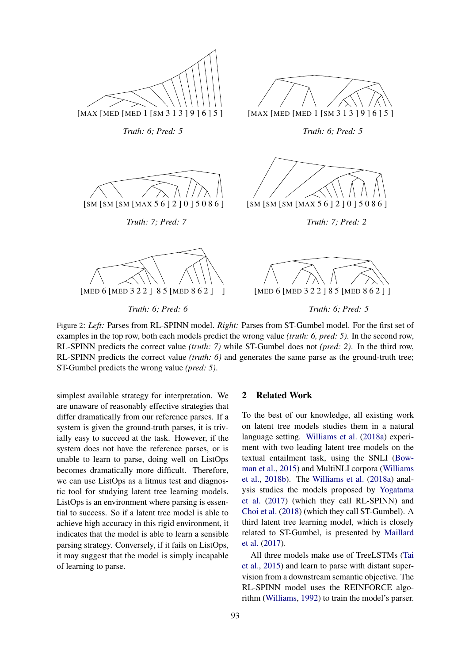

Figure 2: *Left:* Parses from RL-SPINN model. *Right:* Parses from ST-Gumbel model. For the first set of examples in the top row, both each models predict the wrong value *(truth: 6, pred: 5)*. In the second row, RL-SPINN predicts the correct value *(truth: 7)* while ST-Gumbel does not *(pred: 2)*. In the third row, RL-SPINN predicts the correct value *(truth: 6)* and generates the same parse as the ground-truth tree; ST-Gumbel predicts the wrong value *(pred: 5)*.

simplest available strategy for interpretation. We are unaware of reasonably effective strategies that differ dramatically from our reference parses. If a system is given the ground-truth parses, it is trivially easy to succeed at the task. However, if the system does not have the reference parses, or is unable to learn to parse, doing well on ListOps becomes dramatically more difficult. Therefore, we can use ListOps as a litmus test and diagnostic tool for studying latent tree learning models. ListOps is an environment where parsing is essential to success. So if a latent tree model is able to achieve high accuracy in this rigid environment, it indicates that the model is able to learn a sensible parsing strategy. Conversely, if it fails on ListOps, it may suggest that the model is simply incapable of learning to parse.

#### 2 Related Work

To the best of our knowledge, all existing work on latent tree models studies them in a natural language setting. Williams et al. (2018a) experiment with two leading latent tree models on the textual entailment task, using the SNLI (Bowman et al., 2015) and MultiNLI corpora (Williams et al., 2018b). The Williams et al. (2018a) analysis studies the models proposed by Yogatama et al. (2017) (which they call RL-SPINN) and Choi et al. (2018) (which they call ST-Gumbel). A third latent tree learning model, which is closely related to ST-Gumbel, is presented by Maillard et al. (2017).

All three models make use of TreeLSTMs (Tai et al., 2015) and learn to parse with distant supervision from a downstream semantic objective. The RL-SPINN model uses the REINFORCE algorithm (Williams, 1992) to train the model's parser.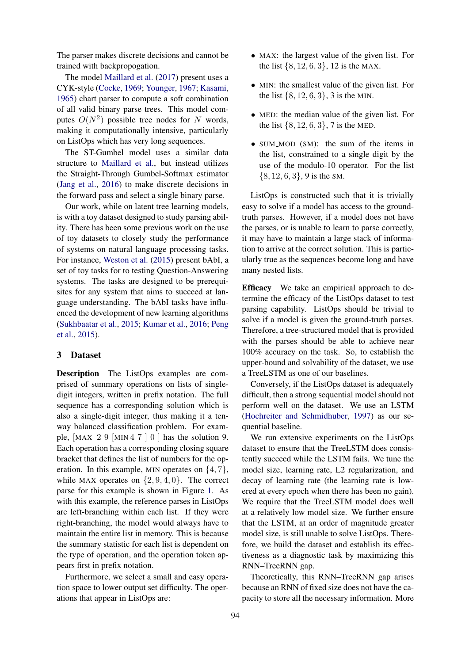The parser makes discrete decisions and cannot be trained with backpropogation.

The model Maillard et al. (2017) present uses a CYK-style (Cocke, 1969; Younger, 1967; Kasami, 1965) chart parser to compute a soft combination of all valid binary parse trees. This model computes  $O(N^2)$  possible tree nodes for N words, making it computationally intensive, particularly on ListOps which has very long sequences.

The ST-Gumbel model uses a similar data structure to Maillard et al., but instead utilizes the Straight-Through Gumbel-Softmax estimator (Jang et al., 2016) to make discrete decisions in the forward pass and select a single binary parse.

Our work, while on latent tree learning models, is with a toy dataset designed to study parsing ability. There has been some previous work on the use of toy datasets to closely study the performance of systems on natural language processing tasks. For instance, Weston et al. (2015) present bAbI, a set of toy tasks for to testing Question-Answering systems. The tasks are designed to be prerequisites for any system that aims to succeed at language understanding. The bAbI tasks have influenced the development of new learning algorithms (Sukhbaatar et al., 2015; Kumar et al., 2016; Peng et al., 2015).

#### 3 Dataset

Description The ListOps examples are comprised of summary operations on lists of singledigit integers, written in prefix notation. The full sequence has a corresponding solution which is also a single-digit integer, thus making it a tenway balanced classification problem. For example,  $MAX 2 9$   $MIN 4 7 0$  has the solution 9. Each operation has a corresponding closing square bracket that defines the list of numbers for the operation. In this example, MIN operates on  $\{4, 7\}$ , while MAX operates on  $\{2, 9, 4, 0\}$ . The correct parse for this example is shown in Figure 1. As with this example, the reference parses in ListOps are left-branching within each list. If they were right-branching, the model would always have to maintain the entire list in memory. This is because the summary statistic for each list is dependent on the type of operation, and the operation token appears first in prefix notation.

Furthermore, we select a small and easy operation space to lower output set difficulty. The operations that appear in ListOps are:

- MAX: the largest value of the given list. For the list  $\{8, 12, 6, 3\}$ , 12 is the MAX.
- MIN: the smallest value of the given list. For the list  $\{8, 12, 6, 3\}$ , 3 is the MIN.
- MED: the median value of the given list. For the list  $\{8, 12, 6, 3\}$ , 7 is the MED.
- SUM\_MOD (SM): the sum of the items in the list, constrained to a single digit by the use of the modulo-10 operator. For the list  $\{8, 12, 6, 3\}$ , 9 is the SM.

ListOps is constructed such that it is trivially easy to solve if a model has access to the groundtruth parses. However, if a model does not have the parses, or is unable to learn to parse correctly, it may have to maintain a large stack of information to arrive at the correct solution. This is particularly true as the sequences become long and have many nested lists.

Efficacy We take an empirical approach to determine the efficacy of the ListOps dataset to test parsing capability. ListOps should be trivial to solve if a model is given the ground-truth parses. Therefore, a tree-structured model that is provided with the parses should be able to achieve near 100% accuracy on the task. So, to establish the upper-bound and solvability of the dataset, we use a TreeLSTM as one of our baselines.

Conversely, if the ListOps dataset is adequately difficult, then a strong sequential model should not perform well on the dataset. We use an LSTM (Hochreiter and Schmidhuber, 1997) as our sequential baseline.

We run extensive experiments on the ListOps dataset to ensure that the TreeLSTM does consistently succeed while the LSTM fails. We tune the model size, learning rate, L2 regularization, and decay of learning rate (the learning rate is lowered at every epoch when there has been no gain). We require that the TreeLSTM model does well at a relatively low model size. We further ensure that the LSTM, at an order of magnitude greater model size, is still unable to solve ListOps. Therefore, we build the dataset and establish its effectiveness as a diagnostic task by maximizing this RNN–TreeRNN gap.

Theoretically, this RNN–TreeRNN gap arises because an RNN of fixed size does not have the capacity to store all the necessary information. More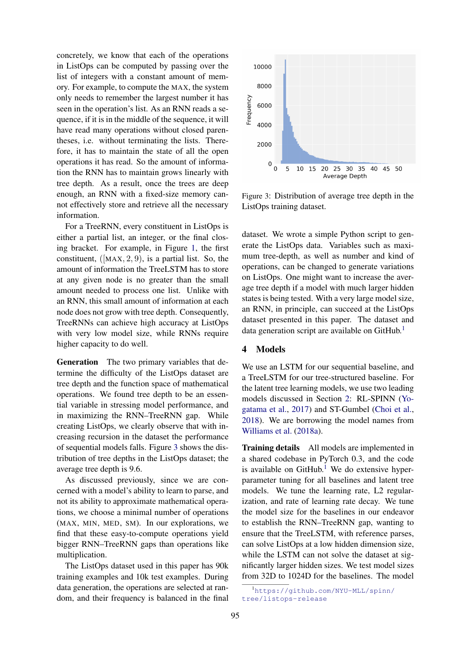concretely, we know that each of the operations in ListOps can be computed by passing over the list of integers with a constant amount of memory. For example, to compute the MAX, the system only needs to remember the largest number it has seen in the operation's list. As an RNN reads a sequence, if it is in the middle of the sequence, it will have read many operations without closed parentheses, i.e. without terminating the lists. Therefore, it has to maintain the state of all the open operations it has read. So the amount of information the RNN has to maintain grows linearly with tree depth. As a result, once the trees are deep enough, an RNN with a fixed-size memory cannot effectively store and retrieve all the necessary information.

For a TreeRNN, every constituent in ListOps is either a partial list, an integer, or the final closing bracket. For example, in Figure 1, the first constituent,  $([MAX, 2, 9)$ , is a partial list. So, the amount of information the TreeLSTM has to store at any given node is no greater than the small amount needed to process one list. Unlike with an RNN, this small amount of information at each node does not grow with tree depth. Consequently, TreeRNNs can achieve high accuracy at ListOps with very low model size, while RNNs require higher capacity to do well.

Generation The two primary variables that determine the difficulty of the ListOps dataset are tree depth and the function space of mathematical operations. We found tree depth to be an essential variable in stressing model performance, and in maximizing the RNN–TreeRNN gap. While creating ListOps, we clearly observe that with increasing recursion in the dataset the performance of sequential models falls. Figure 3 shows the distribution of tree depths in the ListOps dataset; the average tree depth is 9.6.

As discussed previously, since we are concerned with a model's ability to learn to parse, and not its ability to approximate mathematical operations, we choose a minimal number of operations (MAX, MIN, MED, SM). In our explorations, we find that these easy-to-compute operations yield bigger RNN–TreeRNN gaps than operations like multiplication.

The ListOps dataset used in this paper has 90k training examples and 10k test examples. During data generation, the operations are selected at random, and their frequency is balanced in the final



Figure 3: Distribution of average tree depth in the ListOps training dataset.

dataset. We wrote a simple Python script to generate the ListOps data. Variables such as maximum tree-depth, as well as number and kind of operations, can be changed to generate variations on ListOps. One might want to increase the average tree depth if a model with much larger hidden states is being tested. With a very large model size, an RNN, in principle, can succeed at the ListOps dataset presented in this paper. The dataset and data generation script are available on GitHub.<sup>1</sup>

# 4 Models

We use an LSTM for our sequential baseline, and a TreeLSTM for our tree-structured baseline. For the latent tree learning models, we use two leading models discussed in Section 2: RL-SPINN (Yogatama et al., 2017) and ST-Gumbel (Choi et al., 2018). We are borrowing the model names from Williams et al. (2018a).

Training details All models are implemented in a shared codebase in PyTorch 0.3, and the code is available on  $G$ itHub.<sup>1</sup> We do extensive hyperparameter tuning for all baselines and latent tree models. We tune the learning rate, L2 regularization, and rate of learning rate decay. We tune the model size for the baselines in our endeavor to establish the RNN–TreeRNN gap, wanting to ensure that the TreeLSTM, with reference parses, can solve ListOps at a low hidden dimension size, while the LSTM can not solve the dataset at significantly larger hidden sizes. We test model sizes from 32D to 1024D for the baselines. The model

<sup>1</sup>https://github.com/NYU-MLL/spinn/ tree/listops-release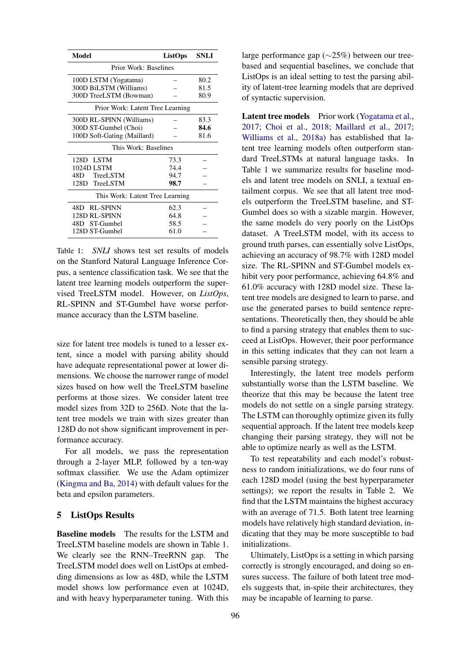| Model                            | <b>ListOps</b> | <b>SNLI</b> |  |  |  |
|----------------------------------|----------------|-------------|--|--|--|
| Prior Work: Baselines            |                |             |  |  |  |
| 100D LSTM (Yogatama)             |                | 80.2        |  |  |  |
| 300D BiLSTM (Williams)           |                | 81.5        |  |  |  |
| 300D TreeLSTM (Bowman)           | 80.9           |             |  |  |  |
| Prior Work: Latent Tree Learning |                |             |  |  |  |
| 300D RL-SPINN (Williams)         |                | 83.3        |  |  |  |
| 300D ST-Gumbel (Choi)            |                | 84.6        |  |  |  |
| 100D Soft-Gating (Maillard)      |                |             |  |  |  |
| This Work: Baselines             |                |             |  |  |  |
| 128D LSTM                        | 73.3           |             |  |  |  |
| 1024D LSTM                       | 74.4           |             |  |  |  |
| 48D TreeLSTM                     | 94.7           |             |  |  |  |
| 128D TreeLSTM                    | 98.7           |             |  |  |  |
| This Work: Latent Tree Learning  |                |             |  |  |  |
| 48D RL-SPINN                     | 62.3           |             |  |  |  |
| 128D RL-SPINN                    | 64.8           |             |  |  |  |
| 48D ST-Gumbel                    | 58.5           |             |  |  |  |
| 128D ST-Gumbel                   | 61.0           |             |  |  |  |

Table 1: *SNLI* shows test set results of models on the Stanford Natural Language Inference Corpus, a sentence classification task. We see that the latent tree learning models outperform the supervised TreeLSTM model. However, on *ListOps*, RL-SPINN and ST-Gumbel have worse performance accuracy than the LSTM baseline.

size for latent tree models is tuned to a lesser extent, since a model with parsing ability should have adequate representational power at lower dimensions. We choose the narrower range of model sizes based on how well the TreeLSTM baseline performs at those sizes. We consider latent tree model sizes from 32D to 256D. Note that the latent tree models we train with sizes greater than 128D do not show significant improvement in performance accuracy.

For all models, we pass the representation through a 2-layer MLP, followed by a ten-way softmax classifier. We use the Adam optimizer (Kingma and Ba, 2014) with default values for the beta and epsilon parameters.

#### 5 ListOps Results

Baseline models The results for the LSTM and TreeLSTM baseline models are shown in Table 1. We clearly see the RNN–TreeRNN gap. The TreeLSTM model does well on ListOps at embedding dimensions as low as 48D, while the LSTM model shows low performance even at 1024D, and with heavy hyperparameter tuning. With this

large performance gap (∼25%) between our treebased and sequential baselines, we conclude that ListOps is an ideal setting to test the parsing ability of latent-tree learning models that are deprived of syntactic supervision.

Latent tree models Prior work (Yogatama et al., 2017; Choi et al., 2018; Maillard et al., 2017; Williams et al., 2018a) has established that latent tree learning models often outperform standard TreeLSTMs at natural language tasks. In Table 1 we summarize results for baseline models and latent tree models on SNLI, a textual entailment corpus. We see that all latent tree models outperform the TreeLSTM baseline, and ST-Gumbel does so with a sizable margin. However, the same models do very poorly on the ListOps dataset. A TreeLSTM model, with its access to ground truth parses, can essentially solve ListOps, achieving an accuracy of 98.7% with 128D model size. The RL-SPINN and ST-Gumbel models exhibit very poor performance, achieving 64.8% and 61.0% accuracy with 128D model size. These latent tree models are designed to learn to parse, and use the generated parses to build sentence representations. Theoretically then, they should be able to find a parsing strategy that enables them to succeed at ListOps. However, their poor performance in this setting indicates that they can not learn a sensible parsing strategy.

Interestingly, the latent tree models perform substantially worse than the LSTM baseline. We theorize that this may be because the latent tree models do not settle on a single parsing strategy. The LSTM can thoroughly optimize given its fully sequential approach. If the latent tree models keep changing their parsing strategy, they will not be able to optimize nearly as well as the LSTM.

To test repeatability and each model's robustness to random initializations, we do four runs of each 128D model (using the best hyperparameter settings); we report the results in Table 2. We find that the LSTM maintains the highest accuracy with an average of 71.5. Both latent tree learning models have relatively high standard deviation, indicating that they may be more susceptible to bad initializations.

Ultimately, ListOps is a setting in which parsing correctly is strongly encouraged, and doing so ensures success. The failure of both latent tree models suggests that, in-spite their architectures, they may be incapable of learning to parse.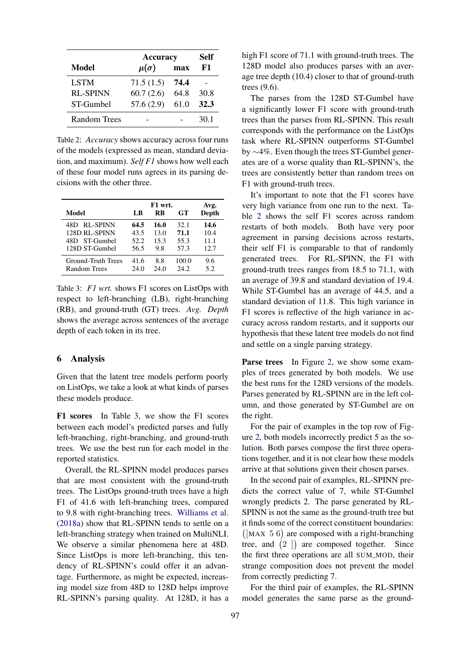|                 | <b>Accuracy</b> | Self |      |
|-----------------|-----------------|------|------|
| Model           | $\mu(\sigma)$   | max  | F1   |
| <b>LSTM</b>     | 71.5(1.5)       | 74.4 |      |
| <b>RL-SPINN</b> | 60.7(2.6)       | 64.8 | 30.8 |
| ST-Gumbel       | 57.6(2.9)       | 61.0 | 32.3 |
| Random Trees    |                 |      | 30 1 |

Table 2: *Accuracy* shows accuracy across four runs of the models (expressed as mean, standard deviation, and maximum). *Self F1* shows how well each of these four model runs agrees in its parsing decisions with the other three.

|                    | F1 wrt. |      |       | Avg.  |
|--------------------|---------|------|-------|-------|
| Model              | LB      | RB   | GT.   | Depth |
| RL-SPINN<br>48D    | 64.5    | 16.0 | 32.1  | 14.6  |
| 128D RL-SPINN      | 43.5    | 13.0 | 71.1  | 10.4  |
| 48D ST-Gumbel      | 52.2    | 15.3 | 55.3  | 11.1  |
| 128D ST-Gumbel     | 56.5    | 9.8  | 57.3  | 12.7  |
| Ground-Truth Trees | 41.6    | 8.8  | 100.0 | 9.6   |
| Random Trees       | 24.0    | 24.0 | 24.2  | 5.2   |

Table 3: *F1 wrt.* shows F1 scores on ListOps with respect to left-branching (LB), right-branching (RB), and ground-truth (GT) trees. *Avg. Depth* shows the average across sentences of the average depth of each token in its tree.

#### 6 Analysis

Given that the latent tree models perform poorly on ListOps, we take a look at what kinds of parses these models produce.

F1 scores In Table 3, we show the F1 scores between each model's predicted parses and fully left-branching, right-branching, and ground-truth trees. We use the best run for each model in the reported statistics.

Overall, the RL-SPINN model produces parses that are most consistent with the ground-truth trees. The ListOps ground-truth trees have a high F1 of 41.6 with left-branching trees, compared to 9.8 with right-branching trees. Williams et al. (2018a) show that RL-SPINN tends to settle on a left-branching strategy when trained on MultiNLI. We observe a similar phenomena here at 48D. Since ListOps is more left-branching, this tendency of RL-SPINN's could offer it an advantage. Furthermore, as might be expected, increasing model size from 48D to 128D helps improve RL-SPINN's parsing quality. At 128D, it has a

high F1 score of 71.1 with ground-truth trees. The 128D model also produces parses with an average tree depth (10.4) closer to that of ground-truth trees (9.6).

The parses from the 128D ST-Gumbel have a significantly lower F1 score with ground-truth trees than the parses from RL-SPINN. This result corresponds with the performance on the ListOps task where RL-SPINN outperforms ST-Gumbel by ∼4%. Even though the trees ST-Gumbel generates are of a worse quality than RL-SPINN's, the trees are consistently better than random trees on F1 with ground-truth trees.

It's important to note that the F1 scores have very high variance from one run to the next. Table 2 shows the self F1 scores across random restarts of both models. Both have very poor agreement in parsing decisions across restarts, their self F1 is comparable to that of randomly generated trees. For RL-SPINN, the F1 with ground-truth trees ranges from 18.5 to 71.1, with an average of 39.8 and standard deviation of 19.4. While ST-Gumbel has an average of 44.5, and a standard deviation of 11.8. This high variance in F1 scores is reflective of the high variance in accuracy across random restarts, and it supports our hypothesis that these latent tree models do not find and settle on a single parsing strategy.

Parse trees In Figure 2, we show some examples of trees generated by both models. We use the best runs for the 128D versions of the models. Parses generated by RL-SPINN are in the left column, and those generated by ST-Gumbel are on the right.

For the pair of examples in the top row of Figure 2, both models incorrectly predict 5 as the solution. Both parses compose the first three operations together, and it is not clear how these models arrive at that solutions given their chosen parses.

In the second pair of examples, RL-SPINN predicts the correct value of 7, while ST-Gumbel wrongly predicts 2. The parse generated by RL-SPINN is not the same as the ground-truth tree but it finds some of the correct constituent boundaries:  $([MAX 5 6]$  are composed with a right-branching tree, and  $(2)$  are composed together. Since the first three operations are all SUM\_MOD, their strange composition does not prevent the model from correctly predicting 7.

For the third pair of examples, the RL-SPINN model generates the same parse as the ground-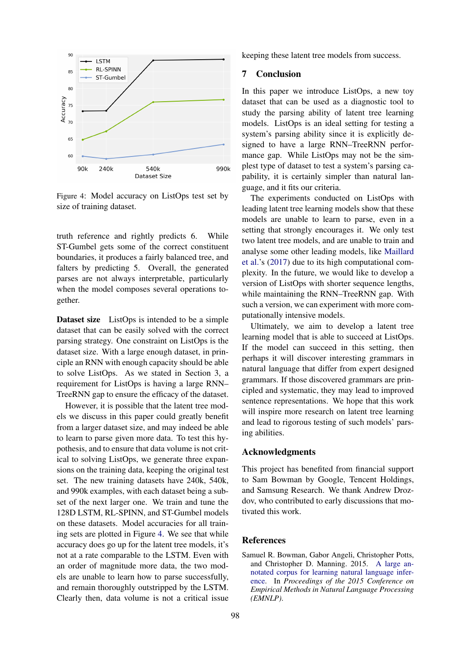

Figure 4: Model accuracy on ListOps test set by size of training dataset.

truth reference and rightly predicts 6. While ST-Gumbel gets some of the correct constituent boundaries, it produces a fairly balanced tree, and falters by predicting 5. Overall, the generated parses are not always interpretable, particularly when the model composes several operations together.

Dataset size ListOps is intended to be a simple dataset that can be easily solved with the correct parsing strategy. One constraint on ListOps is the dataset size. With a large enough dataset, in principle an RNN with enough capacity should be able to solve ListOps. As we stated in Section 3, a requirement for ListOps is having a large RNN– TreeRNN gap to ensure the efficacy of the dataset.

However, it is possible that the latent tree models we discuss in this paper could greatly benefit from a larger dataset size, and may indeed be able to learn to parse given more data. To test this hypothesis, and to ensure that data volume is not critical to solving ListOps, we generate three expansions on the training data, keeping the original test set. The new training datasets have 240k, 540k, and 990k examples, with each dataset being a subset of the next larger one. We train and tune the 128D LSTM, RL-SPINN, and ST-Gumbel models on these datasets. Model accuracies for all training sets are plotted in Figure 4. We see that while accuracy does go up for the latent tree models, it's not at a rate comparable to the LSTM. Even with an order of magnitude more data, the two models are unable to learn how to parse successfully, and remain thoroughly outstripped by the LSTM. Clearly then, data volume is not a critical issue keeping these latent tree models from success.

# 7 Conclusion

In this paper we introduce ListOps, a new toy dataset that can be used as a diagnostic tool to study the parsing ability of latent tree learning models. ListOps is an ideal setting for testing a system's parsing ability since it is explicitly designed to have a large RNN–TreeRNN performance gap. While ListOps may not be the simplest type of dataset to test a system's parsing capability, it is certainly simpler than natural language, and it fits our criteria.

The experiments conducted on ListOps with leading latent tree learning models show that these models are unable to learn to parse, even in a setting that strongly encourages it. We only test two latent tree models, and are unable to train and analyse some other leading models, like Maillard et al.'s (2017) due to its high computational complexity. In the future, we would like to develop a version of ListOps with shorter sequence lengths, while maintaining the RNN–TreeRNN gap. With such a version, we can experiment with more computationally intensive models.

Ultimately, we aim to develop a latent tree learning model that is able to succeed at ListOps. If the model can succeed in this setting, then perhaps it will discover interesting grammars in natural language that differ from expert designed grammars. If those discovered grammars are principled and systematic, they may lead to improved sentence representations. We hope that this work will inspire more research on latent tree learning and lead to rigorous testing of such models' parsing abilities.

### Acknowledgments

This project has benefited from financial support to Sam Bowman by Google, Tencent Holdings, and Samsung Research. We thank Andrew Drozdov, who contributed to early discussions that motivated this work.

#### References

Samuel R. Bowman, Gabor Angeli, Christopher Potts, and Christopher D. Manning. 2015. A large annotated corpus for learning natural language inference. In *Proceedings of the 2015 Conference on Empirical Methods in Natural Language Processing (EMNLP)*.